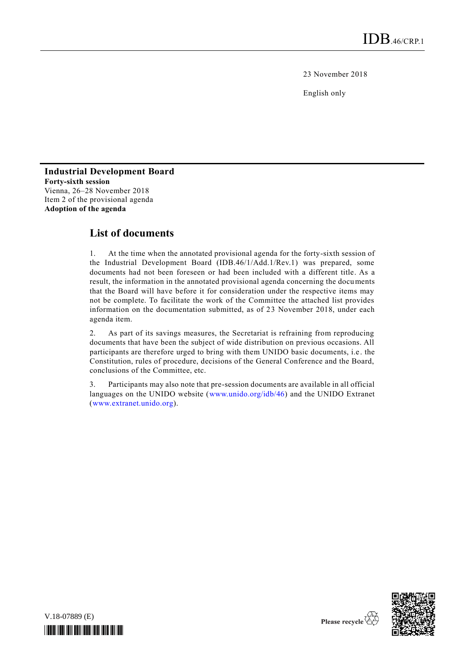23 November 2018

English only

## **Industrial Development Board Forty-sixth session** Vienna, 26–28 November 2018 Item 2 of the provisional agenda **Adoption of the agenda**

## **List of documents**

1. At the time when the annotated provisional agenda for the forty-sixth session of the Industrial Development Board (IDB.46/1/Add.1/Rev.1) was prepared, some documents had not been foreseen or had been included with a different title. As a result, the information in the annotated provisional agenda concerning the documents that the Board will have before it for consideration under the respective items may not be complete. To facilitate the work of the Committee the attached list provides information on the documentation submitted, as of 23 November 2018, under each agenda item.

2. As part of its savings measures, the Secretariat is refraining from reproducing documents that have been the subject of wide distribution on previous occasions. All participants are therefore urged to bring with them UNIDO basic documents, i.e . the Constitution, rules of procedure, decisions of the General Conference and the Board, conclusions of the Committee, etc.

3. Participants may also note that pre-session documents are available in all official languages on the UNIDO website [\(www.unido.org/idb/46\)](http://www.unido.org/idb/46) and the UNIDO Extranet [\(www.extranet.unido.org\)](http://www.extranet.unido.org/).

V.18-07889 (E) *\*1807889\**

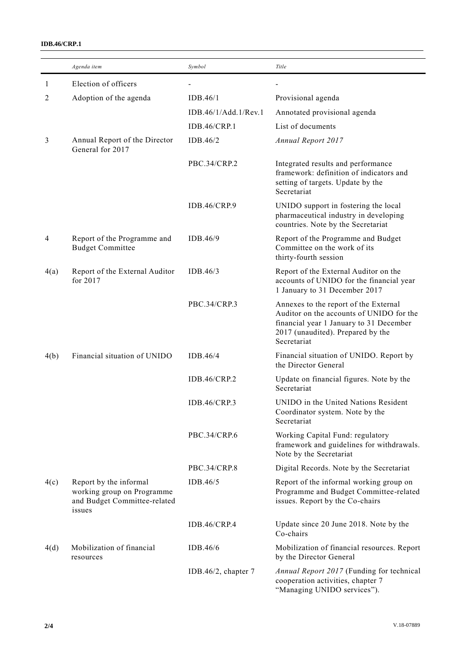## **IDB.46/CRP.1**

|      | Agenda item                                                                                    | Symbol               | Title                                                                                                                                                                            |
|------|------------------------------------------------------------------------------------------------|----------------------|----------------------------------------------------------------------------------------------------------------------------------------------------------------------------------|
| 1    | Election of officers                                                                           |                      |                                                                                                                                                                                  |
| 2    | Adoption of the agenda                                                                         | IDB.46/1             | Provisional agenda                                                                                                                                                               |
|      |                                                                                                | IDB.46/1/Add.1/Rev.1 | Annotated provisional agenda                                                                                                                                                     |
|      |                                                                                                | <b>IDB.46/CRP.1</b>  | List of documents                                                                                                                                                                |
| 3    | Annual Report of the Director<br>General for 2017                                              | IDB.46/2             | <b>Annual Report 2017</b>                                                                                                                                                        |
|      |                                                                                                | PBC.34/CRP.2         | Integrated results and performance<br>framework: definition of indicators and<br>setting of targets. Update by the<br>Secretariat                                                |
|      |                                                                                                | <b>IDB.46/CRP.9</b>  | UNIDO support in fostering the local<br>pharmaceutical industry in developing<br>countries. Note by the Secretariat                                                              |
| 4    | Report of the Programme and<br><b>Budget Committee</b>                                         | IDB.46/9             | Report of the Programme and Budget<br>Committee on the work of its<br>thirty-fourth session                                                                                      |
| 4(a) | Report of the External Auditor<br>for 2017                                                     | IDB.46/3             | Report of the External Auditor on the<br>accounts of UNIDO for the financial year<br>1 January to 31 December 2017                                                               |
|      |                                                                                                | PBC.34/CRP.3         | Annexes to the report of the External<br>Auditor on the accounts of UNIDO for the<br>financial year 1 January to 31 December<br>2017 (unaudited). Prepared by the<br>Secretariat |
| 4(b) | Financial situation of UNIDO                                                                   | IDB.46/4             | Financial situation of UNIDO. Report by<br>the Director General                                                                                                                  |
|      |                                                                                                | <b>IDB.46/CRP.2</b>  | Update on financial figures. Note by the<br>Secretariat                                                                                                                          |
|      |                                                                                                | IDB.46/CRP.3         | UNIDO in the United Nations Resident<br>Coordinator system. Note by the<br>Secretariat                                                                                           |
|      |                                                                                                | PBC.34/CRP.6         | Working Capital Fund: regulatory<br>framework and guidelines for withdrawals.<br>Note by the Secretariat                                                                         |
|      |                                                                                                | PBC.34/CRP.8         | Digital Records. Note by the Secretariat                                                                                                                                         |
| 4(c) | Report by the informal<br>working group on Programme<br>and Budget Committee-related<br>issues | IDB.46/5             | Report of the informal working group on<br>Programme and Budget Committee-related<br>issues. Report by the Co-chairs                                                             |
|      |                                                                                                | <b>IDB.46/CRP.4</b>  | Update since 20 June 2018. Note by the<br>Co-chairs                                                                                                                              |
| 4(d) | Mobilization of financial<br>resources                                                         | IDB.46/6             | Mobilization of financial resources. Report<br>by the Director General                                                                                                           |
|      |                                                                                                | IDB.46/2, chapter 7  | Annual Report 2017 (Funding for technical<br>cooperation activities, chapter 7<br>"Managing UNIDO services").                                                                    |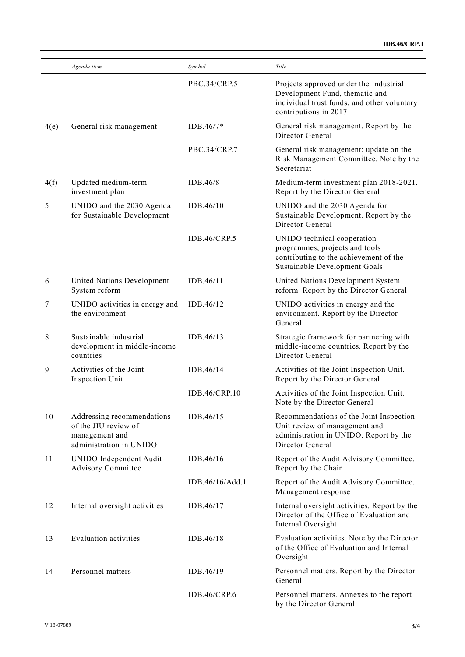|      | Agenda item                                                                                     | Symbol              | Title                                                                                                                                            |
|------|-------------------------------------------------------------------------------------------------|---------------------|--------------------------------------------------------------------------------------------------------------------------------------------------|
|      |                                                                                                 | PBC.34/CRP.5        | Projects approved under the Industrial<br>Development Fund, thematic and<br>individual trust funds, and other voluntary<br>contributions in 2017 |
| 4(e) | General risk management                                                                         | $IDB.46/7*$         | General risk management. Report by the<br>Director General                                                                                       |
|      |                                                                                                 | PBC.34/CRP.7        | General risk management: update on the<br>Risk Management Committee. Note by the<br>Secretariat                                                  |
| 4(f) | Updated medium-term<br>investment plan                                                          | IDB.46/8            | Medium-term investment plan 2018-2021.<br>Report by the Director General                                                                         |
| 5    | UNIDO and the 2030 Agenda<br>for Sustainable Development                                        | IDB.46/10           | UNIDO and the 2030 Agenda for<br>Sustainable Development. Report by the<br>Director General                                                      |
|      |                                                                                                 | IDB.46/CRP.5        | UNIDO technical cooperation<br>programmes, projects and tools<br>contributing to the achievement of the<br>Sustainable Development Goals         |
| 6    | United Nations Development<br>System reform                                                     | IDB.46/11           | United Nations Development System<br>reform. Report by the Director General                                                                      |
| 7    | UNIDO activities in energy and<br>the environment                                               | IDB.46/12           | UNIDO activities in energy and the<br>environment. Report by the Director<br>General                                                             |
| 8    | Sustainable industrial<br>development in middle-income<br>countries                             | IDB.46/13           | Strategic framework for partnering with<br>middle-income countries. Report by the<br>Director General                                            |
| 9    | Activities of the Joint<br>Inspection Unit                                                      | IDB.46/14           | Activities of the Joint Inspection Unit.<br>Report by the Director General                                                                       |
|      |                                                                                                 | IDB.46/CRP.10       | Activities of the Joint Inspection Unit.<br>Note by the Director General                                                                         |
| 10   | Addressing recommendations<br>of the JIU review of<br>management and<br>administration in UNIDO | IDB.46/15           | Recommendations of the Joint Inspection<br>Unit review of management and<br>administration in UNIDO. Report by the<br>Director General           |
| 11   | UNIDO Independent Audit<br><b>Advisory Committee</b>                                            | IDB.46/16           | Report of the Audit Advisory Committee.<br>Report by the Chair                                                                                   |
|      |                                                                                                 | IDB.46/16/Add.1     | Report of the Audit Advisory Committee.<br>Management response                                                                                   |
| 12   | Internal oversight activities                                                                   | IDB.46/17           | Internal oversight activities. Report by the<br>Director of the Office of Evaluation and<br>Internal Oversight                                   |
| 13   | <b>Evaluation activities</b>                                                                    | IDB.46/18           | Evaluation activities. Note by the Director<br>of the Office of Evaluation and Internal<br>Oversight                                             |
| 14   | Personnel matters                                                                               | IDB.46/19           | Personnel matters. Report by the Director<br>General                                                                                             |
|      |                                                                                                 | <b>IDB.46/CRP.6</b> | Personnel matters. Annexes to the report<br>by the Director General                                                                              |